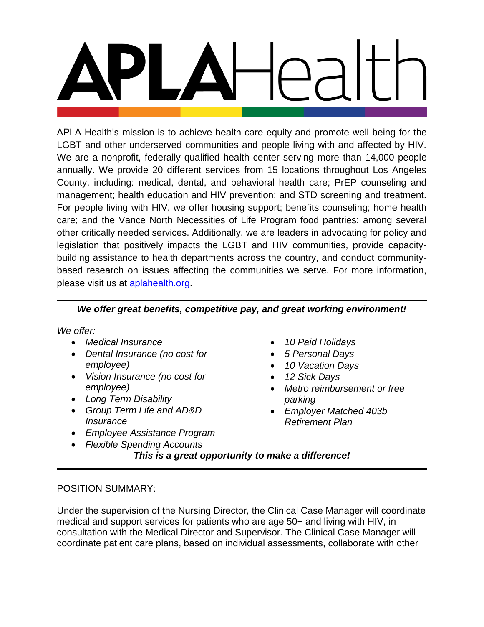APLA Health's mission is to achieve health care equity and promote well-being for the LGBT and other underserved communities and people living with and affected by HIV. We are a nonprofit, federally qualified health center serving more than 14,000 people annually. We provide 20 different services from 15 locations throughout Los Angeles County, including: medical, dental, and behavioral health care; PrEP counseling and management; health education and HIV prevention; and STD screening and treatment. For people living with HIV, we offer housing support; benefits counseling; home health care; and the Vance North Necessities of Life Program food pantries; among several other critically needed services. Additionally, we are leaders in advocating for policy and legislation that positively impacts the LGBT and HIV communities, provide capacitybuilding assistance to health departments across the country, and conduct communitybased research on issues affecting the communities we serve. For more information, please visit us at [aplahealth.org.](http://www.aplahealth.org/)

# *We offer great benefits, competitive pay, and great working environment!*

*We offer:*

- *Medical Insurance*
- *Dental Insurance (no cost for employee)*
- *Vision Insurance (no cost for employee)*
- *Long Term Disability*
- *Group Term Life and AD&D Insurance*
- *Employee Assistance Program*
- *Flexible Spending Accounts*
- *10 Paid Holidays*
- *5 Personal Days*
- *10 Vacation Days*
- *12 Sick Days*
- *Metro reimbursement or free parking*
- *Employer Matched 403b Retirement Plan*

*This is a great opportunity to make a difference!*

# POSITION SUMMARY:

Under the supervision of the Nursing Director, the Clinical Case Manager will coordinate medical and support services for patients who are age 50+ and living with HIV, in consultation with the Medical Director and Supervisor. The Clinical Case Manager will coordinate patient care plans, based on individual assessments, collaborate with other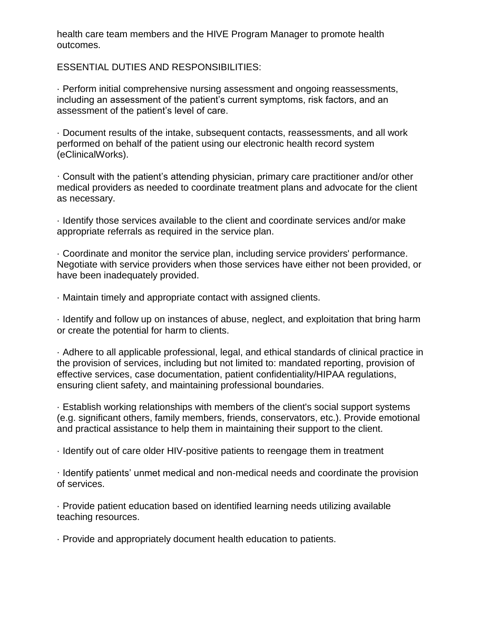health care team members and the HIVE Program Manager to promote health outcomes.

ESSENTIAL DUTIES AND RESPONSIBILITIES:

· Perform initial comprehensive nursing assessment and ongoing reassessments, including an assessment of the patient's current symptoms, risk factors, and an assessment of the patient's level of care.

· Document results of the intake, subsequent contacts, reassessments, and all work performed on behalf of the patient using our electronic health record system (eClinicalWorks).

· Consult with the patient's attending physician, primary care practitioner and/or other medical providers as needed to coordinate treatment plans and advocate for the client as necessary.

· Identify those services available to the client and coordinate services and/or make appropriate referrals as required in the service plan.

· Coordinate and monitor the service plan, including service providers' performance. Negotiate with service providers when those services have either not been provided, or have been inadequately provided.

· Maintain timely and appropriate contact with assigned clients.

· Identify and follow up on instances of abuse, neglect, and exploitation that bring harm or create the potential for harm to clients.

· Adhere to all applicable professional, legal, and ethical standards of clinical practice in the provision of services, including but not limited to: mandated reporting, provision of effective services, case documentation, patient confidentiality/HIPAA regulations, ensuring client safety, and maintaining professional boundaries.

· Establish working relationships with members of the client's social support systems (e.g. significant others, family members, friends, conservators, etc.). Provide emotional and practical assistance to help them in maintaining their support to the client.

· Identify out of care older HIV-positive patients to reengage them in treatment

· Identify patients' unmet medical and non-medical needs and coordinate the provision of services.

· Provide patient education based on identified learning needs utilizing available teaching resources.

· Provide and appropriately document health education to patients.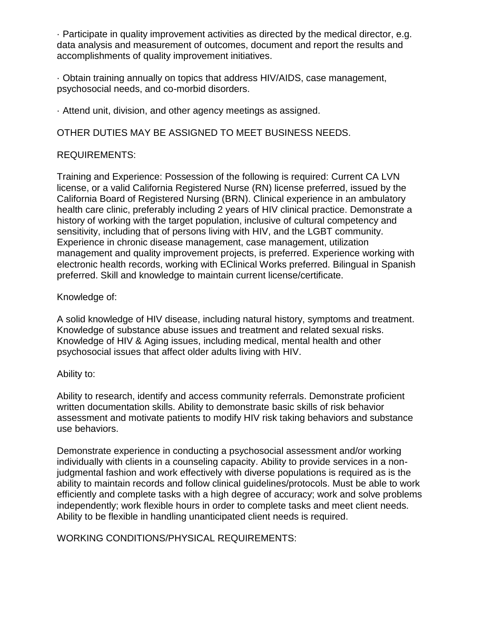· Participate in quality improvement activities as directed by the medical director, e.g. data analysis and measurement of outcomes, document and report the results and accomplishments of quality improvement initiatives.

· Obtain training annually on topics that address HIV/AIDS, case management, psychosocial needs, and co-morbid disorders.

· Attend unit, division, and other agency meetings as assigned.

OTHER DUTIES MAY BE ASSIGNED TO MEET BUSINESS NEEDS.

# REQUIREMENTS:

Training and Experience: Possession of the following is required: Current CA LVN license, or a valid California Registered Nurse (RN) license preferred, issued by the California Board of Registered Nursing (BRN). Clinical experience in an ambulatory health care clinic, preferably including 2 years of HIV clinical practice. Demonstrate a history of working with the target population, inclusive of cultural competency and sensitivity, including that of persons living with HIV, and the LGBT community. Experience in chronic disease management, case management, utilization management and quality improvement projects, is preferred. Experience working with electronic health records, working with EClinical Works preferred. Bilingual in Spanish preferred. Skill and knowledge to maintain current license/certificate.

Knowledge of:

A solid knowledge of HIV disease, including natural history, symptoms and treatment. Knowledge of substance abuse issues and treatment and related sexual risks. Knowledge of HIV & Aging issues, including medical, mental health and other psychosocial issues that affect older adults living with HIV.

### Ability to:

Ability to research, identify and access community referrals. Demonstrate proficient written documentation skills. Ability to demonstrate basic skills of risk behavior assessment and motivate patients to modify HIV risk taking behaviors and substance use behaviors.

Demonstrate experience in conducting a psychosocial assessment and/or working individually with clients in a counseling capacity. Ability to provide services in a nonjudgmental fashion and work effectively with diverse populations is required as is the ability to maintain records and follow clinical guidelines/protocols. Must be able to work efficiently and complete tasks with a high degree of accuracy; work and solve problems independently; work flexible hours in order to complete tasks and meet client needs. Ability to be flexible in handling unanticipated client needs is required.

WORKING CONDITIONS/PHYSICAL REQUIREMENTS: